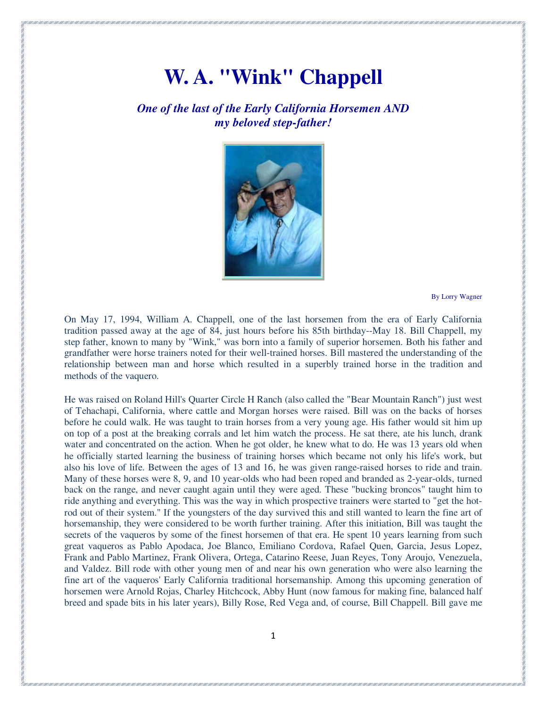## **W. A. "Wink" Chappell**

*One of the last of the Early California Horsemen AND my beloved step-father!* 



By Lorry Wagner

On May 17, 1994, William A. Chappell, one of the last horsemen from the era of Early California tradition passed away at the age of 84, just hours before his 85th birthday--May 18. Bill Chappell, my step father, known to many by "Wink," was born into a family of superior horsemen. Both his father and grandfather were horse trainers noted for their well-trained horses. Bill mastered the understanding of the relationship between man and horse which resulted in a superbly trained horse in the tradition and methods of the vaquero.

He was raised on Roland Hill's Quarter Circle H Ranch (also called the "Bear Mountain Ranch") just west of Tehachapi, California, where cattle and Morgan horses were raised. Bill was on the backs of horses before he could walk. He was taught to train horses from a very young age. His father would sit him up on top of a post at the breaking corrals and let him watch the process. He sat there, ate his lunch, drank water and concentrated on the action. When he got older, he knew what to do. He was 13 years old when he officially started learning the business of training horses which became not only his life's work, but also his love of life. Between the ages of 13 and 16, he was given range-raised horses to ride and train. Many of these horses were 8, 9, and 10 year-olds who had been roped and branded as 2-year-olds, turned back on the range, and never caught again until they were aged. These "bucking broncos" taught him to ride anything and everything. This was the way in which prospective trainers were started to "get the hotrod out of their system." If the youngsters of the day survived this and still wanted to learn the fine art of horsemanship, they were considered to be worth further training. After this initiation, Bill was taught the secrets of the vaqueros by some of the finest horsemen of that era. He spent 10 years learning from such great vaqueros as Pablo Apodaca, Joe Blanco, Emiliano Cordova, Rafael Quen, Garcia, Jesus Lopez, Frank and Pablo Martinez, Frank Olivera, Ortega, Catarino Reese, Juan Reyes, Tony Aroujo, Venezuela, and Valdez. Bill rode with other young men of and near his own generation who were also learning the fine art of the vaqueros' Early California traditional horsemanship. Among this upcoming generation of horsemen were Arnold Rojas, Charley Hitchcock, Abby Hunt (now famous for making fine, balanced half breed and spade bits in his later years), Billy Rose, Red Vega and, of course, Bill Chappell. Bill gave me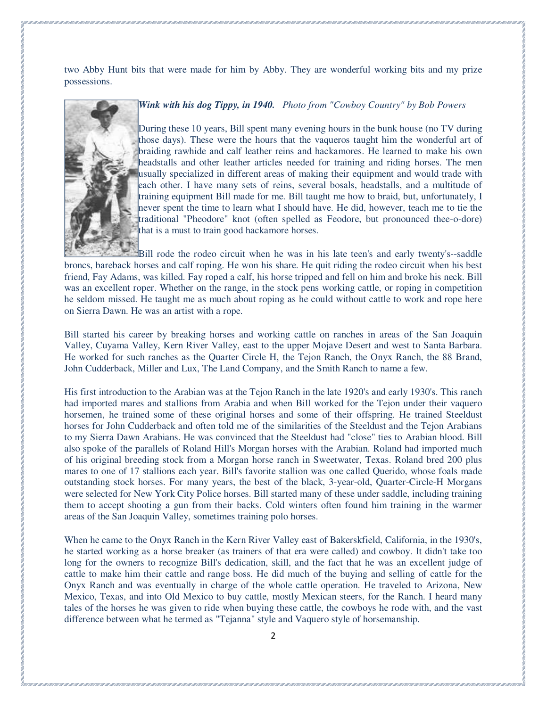two Abby Hunt bits that were made for him by Abby. They are wonderful working bits and my prize possessions.



## *Wink with his dog Tippy, in 1940. Photo from "Cowboy Country" by Bob Powers*

During these 10 years, Bill spent many evening hours in the bunk house (no TV during those days). These were the hours that the vaqueros taught him the wonderful art of braiding rawhide and calf leather reins and hackamores. He learned to make his own headstalls and other leather articles needed for training and riding horses. The men usually specialized in different areas of making their equipment and would trade with each other. I have many sets of reins, several bosals, headstalls, and a multitude of training equipment Bill made for me. Bill taught me how to braid, but, unfortunately, I never spent the time to learn what I should have. He did, however, teach me to tie the traditional "Pheodore" knot (often spelled as Feodore, but pronounced thee-o-dore) that is a must to train good hackamore horses.

Bill rode the rodeo circuit when he was in his late teen's and early twenty's--saddle broncs, bareback horses and calf roping. He won his share. He quit riding the rodeo circuit when his best friend, Fay Adams, was killed. Fay roped a calf, his horse tripped and fell on him and broke his neck. Bill was an excellent roper. Whether on the range, in the stock pens working cattle, or roping in competition he seldom missed. He taught me as much about roping as he could without cattle to work and rope here on Sierra Dawn. He was an artist with a rope.

Bill started his career by breaking horses and working cattle on ranches in areas of the San Joaquin Valley, Cuyama Valley, Kern River Valley, east to the upper Mojave Desert and west to Santa Barbara. He worked for such ranches as the Quarter Circle H, the Tejon Ranch, the Onyx Ranch, the 88 Brand, John Cudderback, Miller and Lux, The Land Company, and the Smith Ranch to name a few.

His first introduction to the Arabian was at the Tejon Ranch in the late 1920's and early 1930's. This ranch had imported mares and stallions from Arabia and when Bill worked for the Tejon under their vaquero horsemen, he trained some of these original horses and some of their offspring. He trained Steeldust horses for John Cudderback and often told me of the similarities of the Steeldust and the Tejon Arabians to my Sierra Dawn Arabians. He was convinced that the Steeldust had "close" ties to Arabian blood. Bill also spoke of the parallels of Roland Hill's Morgan horses with the Arabian. Roland had imported much of his original breeding stock from a Morgan horse ranch in Sweetwater, Texas. Roland bred 200 plus mares to one of 17 stallions each year. Bill's favorite stallion was one called Querido, whose foals made outstanding stock horses. For many years, the best of the black, 3-year-old, Quarter-Circle-H Morgans were selected for New York City Police horses. Bill started many of these under saddle, including training them to accept shooting a gun from their backs. Cold winters often found him training in the warmer areas of the San Joaquin Valley, sometimes training polo horses.

When he came to the Onyx Ranch in the Kern River Valley east of Bakerskfield, California, in the 1930's, he started working as a horse breaker (as trainers of that era were called) and cowboy. It didn't take too long for the owners to recognize Bill's dedication, skill, and the fact that he was an excellent judge of cattle to make him their cattle and range boss. He did much of the buying and selling of cattle for the Onyx Ranch and was eventually in charge of the whole cattle operation. He traveled to Arizona, New Mexico, Texas, and into Old Mexico to buy cattle, mostly Mexican steers, for the Ranch. I heard many tales of the horses he was given to ride when buying these cattle, the cowboys he rode with, and the vast difference between what he termed as "Tejanna" style and Vaquero style of horsemanship.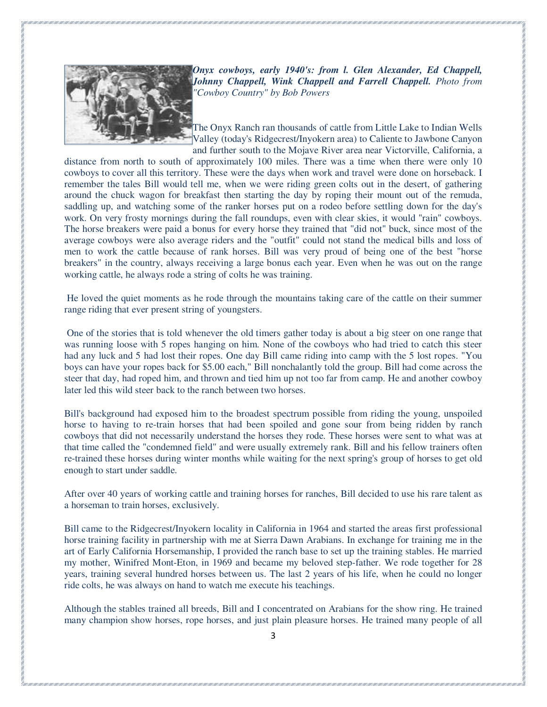

*Onyx cowboys, early 1940's: from l. Glen Alexander, Ed Chappell, Johnny Chappell, Wink Chappell and Farrell Chappell. Photo from "Cowboy Country" by Bob Powers* 

The Onyx Ranch ran thousands of cattle from Little Lake to Indian Wells Valley (today's Ridgecrest/Inyokern area) to Caliente to Jawbone Canyon and further south to the Mojave River area near Victorville, California, a

distance from north to south of approximately 100 miles. There was a time when there were only 10 cowboys to cover all this territory. These were the days when work and travel were done on horseback. I remember the tales Bill would tell me, when we were riding green colts out in the desert, of gathering around the chuck wagon for breakfast then starting the day by roping their mount out of the remuda, saddling up, and watching some of the ranker horses put on a rodeo before settling down for the day's work. On very frosty mornings during the fall roundups, even with clear skies, it would "rain" cowboys. The horse breakers were paid a bonus for every horse they trained that "did not" buck, since most of the average cowboys were also average riders and the "outfit" could not stand the medical bills and loss of men to work the cattle because of rank horses. Bill was very proud of being one of the best "horse breakers" in the country, always receiving a large bonus each year. Even when he was out on the range working cattle, he always rode a string of colts he was training.

 He loved the quiet moments as he rode through the mountains taking care of the cattle on their summer range riding that ever present string of youngsters.

 One of the stories that is told whenever the old timers gather today is about a big steer on one range that was running loose with 5 ropes hanging on him. None of the cowboys who had tried to catch this steer had any luck and 5 had lost their ropes. One day Bill came riding into camp with the 5 lost ropes. "You boys can have your ropes back for \$5.00 each," Bill nonchalantly told the group. Bill had come across the steer that day, had roped him, and thrown and tied him up not too far from camp. He and another cowboy later led this wild steer back to the ranch between two horses.

Bill's background had exposed him to the broadest spectrum possible from riding the young, unspoiled horse to having to re-train horses that had been spoiled and gone sour from being ridden by ranch cowboys that did not necessarily understand the horses they rode. These horses were sent to what was at that time called the "condemned field" and were usually extremely rank. Bill and his fellow trainers often re-trained these horses during winter months while waiting for the next spring's group of horses to get old enough to start under saddle.

After over 40 years of working cattle and training horses for ranches, Bill decided to use his rare talent as a horseman to train horses, exclusively.

Bill came to the Ridgecrest/Inyokern locality in California in 1964 and started the areas first professional horse training facility in partnership with me at Sierra Dawn Arabians. In exchange for training me in the art of Early California Horsemanship, I provided the ranch base to set up the training stables. He married my mother, Winifred Mont-Eton, in 1969 and became my beloved step-father. We rode together for 28 years, training several hundred horses between us. The last 2 years of his life, when he could no longer ride colts, he was always on hand to watch me execute his teachings.

Although the stables trained all breeds, Bill and I concentrated on Arabians for the show ring. He trained many champion show horses, rope horses, and just plain pleasure horses. He trained many people of all <u> 1919 – 1919 – 1919 – 1919 – 1919 – 1919 – 1919 – 1919 – 1919 – 1919 – 1919 – 1919 – 1919 – 1919 – 1919 – 1919 – 1920 – 1920 – 1920 – 1920 – 1920 – 1920 – 1920 – 1920 – 1920 – 1920 – 1920 – 1920 – 1920 – 1920 – 1920 – 192</u>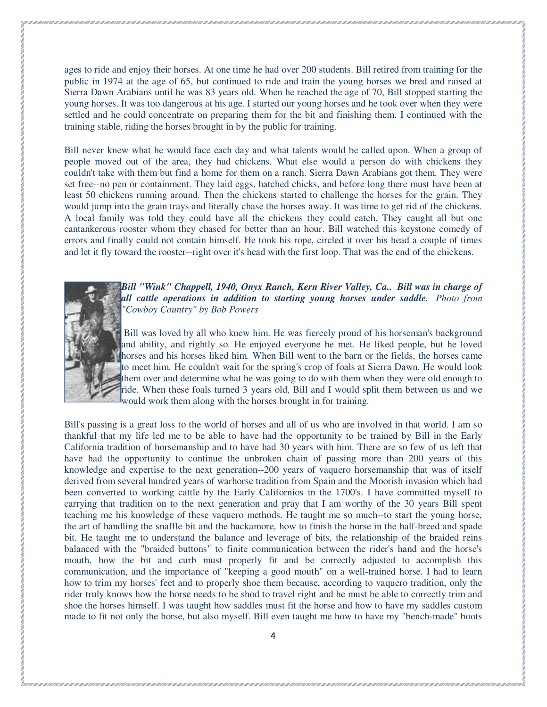ages to ride and enjoy their horses. At one time he had over 200 students. Bill retired from training for the public in 1974 at the age of 65, but continued to ride and train the young horses we bred and raised at Sierra Dawn Arabians until he was 83 years old. When he reached the age of 70, Bill stopped starting the young horses. It was too dangerous at his age. I started our young horses and he took over when they were settled and he could concentrate on preparing them for the bit and finishing them. I continued with the training stable, riding the horses brought in by the public for training.

Bill never knew what he would face each day and what talents would be called upon. When a group of people moved out of the area, they had chickens. What else would a person do with chickens they couldn't take with them but find a home for them on a ranch. Sierra Dawn Arabians got them. They were set free--no pen or containment. They laid eggs, hatched chicks, and before long there must have been at least 50 chickens running around. Then the chickens started to challenge the horses for the grain. They would jump into the grain trays and literally chase the horses away. It was time to get rid of the chickens. A local family was told they could have all the chickens they could catch. They caught all but one cantankerous rooster whom they chased for better than an hour. Bill watched this keystone comedy of errors and finally could not contain himself. He took his rope, circled it over his head a couple of times and let it fly toward the rooster--right over it's head with the first loop. That was the end of the chickens.



## *Bill "Wink" Chappell, 1940, Onyx Ranch, Kern River Valley, Ca.. Bill was in charge of all cattle operations in addition to starting young horses under saddle. Photo from "Cowboy Country" by Bob Powers*

Bill was loved by all who knew him. He was fiercely proud of his horseman's background and ability, and rightly so. He enjoyed everyone he met. He liked people, but he loved horses and his horses liked him. When Bill went to the barn or the fields, the horses came to meet him. He couldn't wait for the spring's crop of foals at Sierra Dawn. He would look them over and determine what he was going to do with them when they were old enough to ride. When these foals turned 3 years old, Bill and I would split them between us and we would work them along with the horses brought in for training.

Bill's passing is a great loss to the world of horses and all of us who are involved in that world. I am so thankful that my life led me to be able to have had the opportunity to be trained by Bill in the Early California tradition of horsemanship and to have had 30 years with him. There are so few of us left that have had the opportunity to continue the unbroken chain of passing more than 200 years of this knowledge and expertise to the next generation--200 years of vaquero horsemanship that was of itself derived from several hundred years of warhorse tradition from Spain and the Moorish invasion which had been converted to working cattle by the Early Californios in the 1700's. I have committed myself to carrying that tradition on to the next generation and pray that I am worthy of the 30 years Bill spent teaching me his knowledge of these vaquero methods. He taught me so much--to start the young horse, the art of handling the snaffle bit and the hackamore, how to finish the horse in the half-breed and spade bit. He taught me to understand the balance and leverage of bits, the relationship of the braided reins balanced with the "braided buttons" to finite communication between the rider's hand and the horse's mouth, how the bit and curb must properly fit and be correctly adjusted to accomplish this communication, and the importance of "keeping a good mouth" on a well-trained horse. I had to learn how to trim my horses' feet and to properly shoe them because, according to vaquero tradition, only the rider truly knows how the horse needs to be shod to travel right and he must be able to correctly trim and shoe the horses himself. I was taught how saddles must fit the horse and how to have my saddles custom made to fit not only the horse, but also myself. Bill even taught me how to have my "bench-made" boots